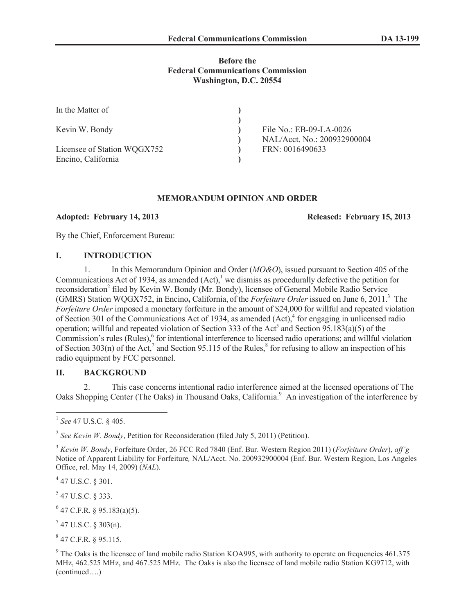## **Before the Federal Communications Commission Washington, D.C. 20554**

| In the Matter of                                  |                                                          |
|---------------------------------------------------|----------------------------------------------------------|
| Kevin W. Bondy                                    | File No.: $EB-09-LA-0026$<br>NAL/Acct. No.: 200932900004 |
| Licensee of Station WQGX752<br>Encino, California | FRN: 0016490633                                          |

### **MEMORANDUM OPINION AND ORDER**

**Adopted: February 14, 2013 Released: February 15, 2013**

By the Chief, Enforcement Bureau:

## **I. INTRODUCTION**

1. In this Memorandum Opinion and Order (*MO&O*), issued pursuant to Section 405 of the Communications Act of 1934, as amended  $(Act)$ ,<sup>1</sup> we dismiss as procedurally defective the petition for reconsideration<sup>2</sup> filed by Kevin W. Bondy (Mr. Bondy), licensee of General Mobile Radio Service (GMRS) Station WQGX752, in Encino**,** California, of the *Forfeiture Order* issued on June 6, 2011.<sup>3</sup> The *Forfeiture Order* imposed a monetary forfeiture in the amount of \$24,000 for willful and repeated violation of Section 301 of the Communications Act of 1934, as amended (Act),<sup>4</sup> for engaging in unlicensed radio operation; will ful and repeated violation of Section 333 of the Act<sup>5</sup> and Section 95.183(a)(5) of the Commission's rules (Rules),<sup>6</sup> for intentional interference to licensed radio operations; and willful violation of Section 303(n) of the Act,<sup>7</sup> and Section 95.115 of the Rules,<sup>8</sup> for refusing to allow an inspection of his radio equipment by FCC personnel.

## **II. BACKGROUND**

2. This case concerns intentional radio interference aimed at the licensed operations of The Oaks Shopping Center (The Oaks) in Thousand Oaks, California.<sup>9</sup> An investigation of the interference by

2 *See Kevin W. Bondy*, Petition for Reconsideration (filed July 5, 2011) (Petition).

 $^{4}$  47 U.S.C. § 301.

 $5$  47 U.S.C. § 333.

 $^{6}$  47 C.F.R. § 95.183(a)(5).

 $7$  47 U.S.C. § 303(n).

 $847$  C.F.R. § 95.115.

<sup>1</sup> *See* 47 U.S.C. § 405.

<sup>3</sup> *Kevin W. Bondy*, Forfeiture Order, 26 FCC Rcd 7840 (Enf. Bur. Western Region 2011) (*Forfeiture Order*), *aff'g*  Notice of Apparent Liability for Forfeiture*,* NAL/Acct. No. 200932900004 (Enf. Bur. Western Region, Los Angeles Office, rel. May 14, 2009) (*NAL*).

 $9$  The Oaks is the licensee of land mobile radio Station KOA995, with authority to operate on frequencies 461.375 MHz, 462.525 MHz, and 467.525 MHz. The Oaks is also the licensee of land mobile radio Station KG9712, with (continued….)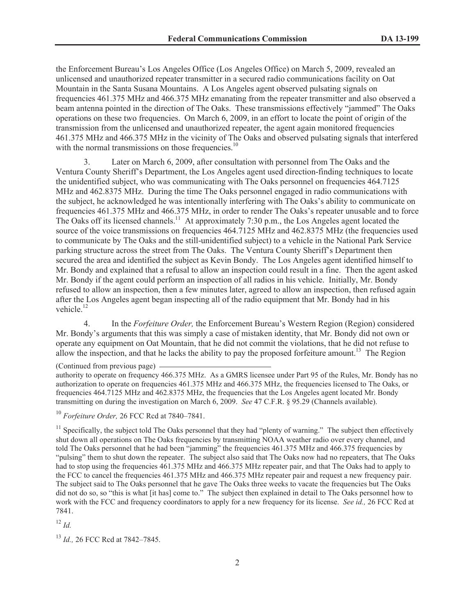the Enforcement Bureau's Los Angeles Office (Los Angeles Office) on March 5, 2009, revealed an unlicensed and unauthorized repeater transmitter in a secured radio communications facility on Oat Mountain in the Santa Susana Mountains. A Los Angeles agent observed pulsating signals on frequencies 461.375 MHz and 466.375 MHz emanating from the repeater transmitter and also observed a beam antenna pointed in the direction of The Oaks. These transmissions effectively "jammed" The Oaks operations on these two frequencies. On March 6, 2009, in an effort to locate the point of origin of the transmission from the unlicensed and unauthorized repeater, the agent again monitored frequencies 461.375 MHz and 466.375 MHz in the vicinity of The Oaks and observed pulsating signals that interfered with the normal transmissions on those frequencies.<sup>10</sup>

3. Later on March 6, 2009, after consultation with personnel from The Oaks and the Ventura County Sheriff's Department, the Los Angeles agent used direction-finding techniques to locate the unidentified subject, who was communicating with The Oaks personnel on frequencies 464.7125 MHz and 462.8375 MHz. During the time The Oaks personnel engaged in radio communications with the subject, he acknowledged he was intentionally interfering with The Oaks's ability to communicate on frequencies 461.375 MHz and 466.375 MHz, in order to render The Oaks's repeater unusable and to force The Oaks off its licensed channels.<sup>11</sup> At approximately 7:30 p.m., the Los Angeles agent located the source of the voice transmissions on frequencies 464.7125 MHz and 462.8375 MHz (the frequencies used to communicate by The Oaks and the still-unidentified subject) to a vehicle in the National Park Service parking structure across the street from The Oaks. The Ventura County Sheriff's Department then secured the area and identified the subject as Kevin Bondy. The Los Angeles agent identified himself to Mr. Bondy and explained that a refusal to allow an inspection could result in a fine. Then the agent asked Mr. Bondy if the agent could perform an inspection of all radios in his vehicle. Initially, Mr. Bondy refused to allow an inspection, then a few minutes later, agreed to allow an inspection, then refused again after the Los Angeles agent began inspecting all of the radio equipment that Mr. Bondy had in his vehicle.<sup>12</sup>

4. In the *Forfeiture Order,* the Enforcement Bureau's Western Region (Region) considered Mr. Bondy's arguments that this was simply a case of mistaken identity, that Mr. Bondy did not own or operate any equipment on Oat Mountain, that he did not commit the violations, that he did not refuse to allow the inspection, and that he lacks the ability to pay the proposed forfeiture amount.<sup>13</sup> The Region

 $11$  Specifically, the subject told The Oaks personnel that they had "plenty of warning." The subject then effectively shut down all operations on The Oaks frequencies by transmitting NOAA weather radio over every channel, and told The Oaks personnel that he had been "jamming" the frequencies 461.375 MHz and 466.375 frequencies by "pulsing" them to shut down the repeater. The subject also said that The Oaks now had no repeaters, that The Oaks had to stop using the frequencies 461.375 MHz and 466.375 MHz repeater pair, and that The Oaks had to apply to the FCC to cancel the frequencies 461.375 MHz and 466.375 MHz repeater pair and request a new frequency pair. The subject said to The Oaks personnel that he gave The Oaks three weeks to vacate the frequencies but The Oaks did not do so, so "this is what [it has] come to." The subject then explained in detail to The Oaks personnel how to work with the FCC and frequency coordinators to apply for a new frequency for its license. *See id.,* 26 FCC Rcd at 7841.

<sup>12</sup> *Id.*

<sup>13</sup> *Id.,* 26 FCC Rcd at 7842–7845.

<sup>(</sup>Continued from previous page)

authority to operate on frequency 466.375 MHz. As a GMRS licensee under Part 95 of the Rules, Mr. Bondy has no authorization to operate on frequencies 461.375 MHz and 466.375 MHz, the frequencies licensed to The Oaks, or frequencies 464.7125 MHz and 462.8375 MHz, the frequencies that the Los Angeles agent located Mr. Bondy transmitting on during the investigation on March 6, 2009. *See* 47 C.F.R. § 95.29 (Channels available).

<sup>10</sup> *Forfeiture Order,* 26 FCC Rcd at 7840–7841.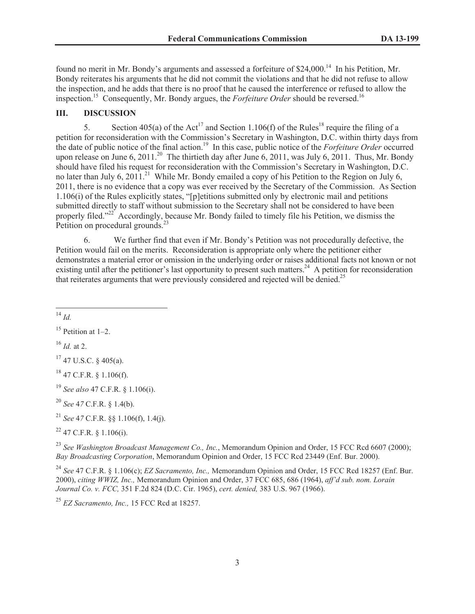found no merit in Mr. Bondy's arguments and assessed a forfeiture of \$24,000.<sup>14</sup> In his Petition, Mr. Bondy reiterates his arguments that he did not commit the violations and that he did not refuse to allow the inspection, and he adds that there is no proof that he caused the interference or refused to allow the inspection.<sup>15</sup> Consequently, Mr. Bondy argues, the *Forfeiture Order* should be reversed.<sup>16</sup>

# **III. DISCUSSION**

5. Section 405(a) of the Act<sup>17</sup> and Section 1.106(f) of the Rules<sup>18</sup> require the filing of a petition for reconsideration with the Commission's Secretary in Washington, D.C. within thirty days from the date of public notice of the final action.<sup>19</sup> In this case, public notice of the *Forfeiture Order* occurred upon release on June 6, 2011.<sup>20</sup> The thirtieth day after June 6, 2011, was July 6, 2011. Thus, Mr. Bondy should have filed his request for reconsideration with the Commission's Secretary in Washington, D.C. no later than July 6, 2011.<sup>21</sup> While Mr. Bondy emailed a copy of his Petition to the Region on July 6, 2011, there is no evidence that a copy was ever received by the Secretary of the Commission. As Section 1.106(i) of the Rules explicitly states, "[p]etitions submitted only by electronic mail and petitions submitted directly to staff without submission to the Secretary shall not be considered to have been properly filed."<sup>22</sup> Accordingly, because Mr. Bondy failed to timely file his Petition, we dismiss the Petition on procedural grounds.<sup>23</sup>

6. We further find that even if Mr. Bondy's Petition was not procedurally defective, the Petition would fail on the merits. Reconsideration is appropriate only where the petitioner either demonstrates a material error or omission in the underlying order or raises additional facts not known or not existing until after the petitioner's last opportunity to present such matters.<sup>24</sup> A petition for reconsideration that reiterates arguments that were previously considered and rejected will be denied.<sup>25</sup>

<sup>14</sup> *Id.*

<sup>16</sup> *Id.* at 2.

 $17$  47 U.S.C. § 405(a).

 $18$  47 C.F.R.  $8$  1.106(f).

<sup>19</sup> *See also* 47 C.F.R. § 1.106(i).

<sup>20</sup> *See* 4*7* C.F.R. § 1.4(b).

<sup>21</sup> *See* 4*7* C.F.R. §§ 1.106(f), 1.4(j).

 $22$  47 C.F.R. § 1.106(i).

<sup>23</sup> *See Washington Broadcast Management Co., Inc.*, Memorandum Opinion and Order, 15 FCC Rcd 6607 (2000); *Bay Broadcasting Corporation*, Memorandum Opinion and Order, 15 FCC Rcd 23449 (Enf. Bur. 2000).

<sup>24</sup> *See* 47 C.F.R. § 1.106(c); *EZ Sacramento, Inc.,* Memorandum Opinion and Order, 15 FCC Rcd 18257 (Enf. Bur. 2000), *citing WWIZ, Inc.,* Memorandum Opinion and Order, 37 FCC 685, 686 (1964), *aff'd sub. nom. Lorain Journal Co. v. FCC,* 351 F.2d 824 (D.C. Cir. 1965), *cert. denied,* 383 U.S. 967 (1966).

<sup>25</sup> *EZ Sacramento, Inc.,* 15 FCC Rcd at 18257.

 $15$  Petition at 1–2.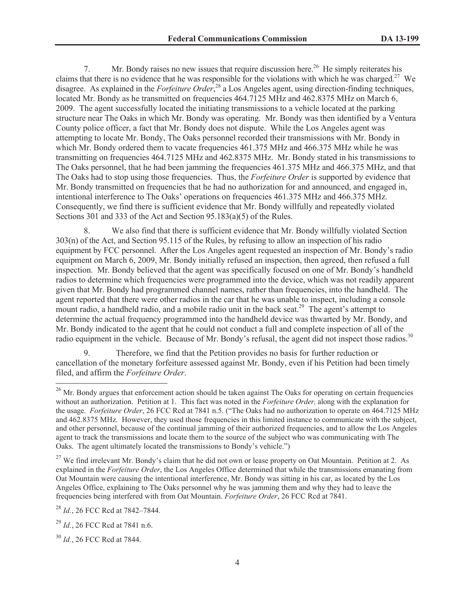7. Mr. Bondy raises no new issues that require discussion here.<sup>26</sup> He simply reiterates his claims that there is no evidence that he was responsible for the violations with which he was charged.<sup>27</sup> We disagree. As explained in the *Forfeiture Order*, <sup>28</sup> a Los Angeles agent, using direction-finding techniques, located Mr. Bondy as he transmitted on frequencies 464.7125 MHz and 462.8375 MHz on March 6, 2009. The agent successfully located the initiating transmissions to a vehicle located at the parking structure near The Oaks in which Mr. Bondy was operating. Mr. Bondy was then identified by a Ventura County police officer, a fact that Mr. Bondy does not dispute. While the Los Angeles agent was attempting to locate Mr. Bondy, The Oaks personnel recorded their transmissions with Mr. Bondy in which Mr. Bondy ordered them to vacate frequencies 461.375 MHz and 466.375 MHz while he was transmitting on frequencies 464.7125 MHz and 462.8375 MHz. Mr. Bondy stated in his transmissions to The Oaks personnel, that he had been jamming the frequencies 461.375 MHz and 466.375 MHz, and that The Oaks had to stop using those frequencies. Thus, the *Forfeiture Order* is supported by evidence that Mr. Bondy transmitted on frequencies that he had no authorization for and announced, and engaged in, intentional interference to The Oaks' operations on frequencies 461.375 MHz and 466.375 MHz. Consequently, we find there is sufficient evidence that Mr. Bondy willfully and repeatedly violated Sections 301 and 333 of the Act and Section 95.183(a)(5) of the Rules.

8. We also find that there is sufficient evidence that Mr. Bondy willfully violated Section 303(n) of the Act, and Section 95.115 of the Rules, by refusing to allow an inspection of his radio equipment by FCC personnel. After the Los Angeles agent requested an inspection of Mr. Bondy's radio equipment on March 6, 2009, Mr. Bondy initially refused an inspection, then agreed, then refused a full inspection. Mr. Bondy believed that the agent was specifically focused on one of Mr. Bondy's handheld radios to determine which frequencies were programmed into the device, which was not readily apparent given that Mr. Bondy had programmed channel names, rather than frequencies, into the handheld. The agent reported that there were other radios in the car that he was unable to inspect, including a console mount radio, a handheld radio, and a mobile radio unit in the back seat.<sup>29</sup> The agent's attempt to determine the actual frequency programmed into the handheld device was thwarted by Mr. Bondy, and Mr. Bondy indicated to the agent that he could not conduct a full and complete inspection of all of the radio equipment in the vehicle. Because of Mr. Bondy's refusal, the agent did not inspect those radios.<sup>30</sup>

9. Therefore, we find that the Petition provides no basis for further reduction or cancellation of the monetary forfeiture assessed against Mr. Bondy, even if his Petition had been timely filed, and affirm the *Forfeiture Order*.

<sup>27</sup> We find irrelevant Mr. Bondy's claim that he did not own or lease property on Oat Mountain. Petition at 2. As explained in the *Forfeiture Order*, the Los Angeles Office determined that while the transmissions emanating from Oat Mountain were causing the intentional interference, Mr. Bondy was sitting in his car, as located by the Los Angeles Office, explaining to The Oaks personnel why he was jamming them and why they had to leave the frequencies being interfered with from Oat Mountain. *Forfeiture Order*, 26 FCC Rcd at 7841.

<sup>28</sup> *Id.*, 26 FCC Rcd at 7842–7844.

<sup>&</sup>lt;sup>26</sup> Mr. Bondy argues that enforcement action should be taken against The Oaks for operating on certain frequencies without an authorization. Petition at 1. This fact was noted in the *Forfeiture Order,* along with the explanation for the usage. *Forfeiture Order*, 26 FCC Rcd at 7841 n.5. ("The Oaks had no authorization to operate on 464.7125 MHz and 462.8375 MHz. However, they used those frequencies in this limited instance to communicate with the subject, and other personnel, because of the continual jamming of their authorized frequencies, and to allow the Los Angeles agent to track the transmissions and locate them to the source of the subject who was communicating with The Oaks. The agent ultimately located the transmissions to Bondy's vehicle.")

<sup>29</sup> *Id.*, 26 FCC Rcd at 7841 n.6.

<sup>30</sup> *Id.*, 26 FCC Rcd at 7844.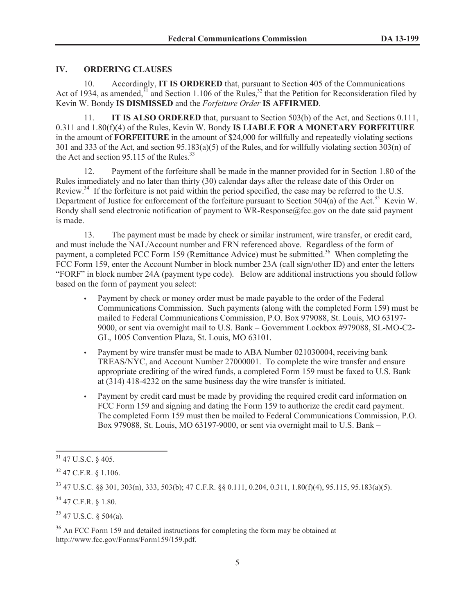## **IV. ORDERING CLAUSES**

10. Accordingly, **IT IS ORDERED** that, pursuant to Section 405 of the Communications Act of 1934, as amended, $31$  and Section 1.106 of the Rules, $32$  that the Petition for Reconsideration filed by Kevin W. Bondy **IS DISMISSED** and the *Forfeiture Order* **IS AFFIRMED**.

11. **IT IS ALSO ORDERED** that, pursuant to Section 503(b) of the Act, and Sections 0.111, 0.311 and 1.80(f)(4) of the Rules, Kevin W. Bondy **IS LIABLE FOR A MONETARY FORFEITURE** in the amount of **FORFEITURE** in the amount of \$24,000 for willfully and repeatedly violating sections 301 and 333 of the Act, and section 95.183(a)(5) of the Rules, and for willfully violating section 303(n) of the Act and section 95.115 of the Rules. $^{33}$ 

12. Payment of the forfeiture shall be made in the manner provided for in Section 1.80 of the Rules immediately and no later than thirty (30) calendar days after the release date of this Order on Review.<sup>34</sup> If the forfeiture is not paid within the period specified, the case may be referred to the U.S. Department of Justice for enforcement of the forfeiture pursuant to Section 504(a) of the Act.<sup>35</sup> Kevin W. Bondy shall send electronic notification of payment to WR-Response@fcc.gov on the date said payment is made.

13. The payment must be made by check or similar instrument, wire transfer, or credit card, and must include the NAL/Account number and FRN referenced above. Regardless of the form of payment, a completed FCC Form 159 (Remittance Advice) must be submitted.<sup>36</sup> When completing the FCC Form 159, enter the Account Number in block number 23A (call sign/other ID) and enter the letters "FORF" in block number 24A (payment type code). Below are additional instructions you should follow based on the form of payment you select:

- Payment by check or money order must be made payable to the order of the Federal Communications Commission. Such payments (along with the completed Form 159) must be mailed to Federal Communications Commission, P.O. Box 979088, St. Louis, MO 63197- 9000, or sent via overnight mail to U.S. Bank – Government Lockbox #979088, SL-MO-C2- GL, 1005 Convention Plaza, St. Louis, MO 63101.
- Payment by wire transfer must be made to ABA Number 021030004, receiving bank TREAS/NYC, and Account Number 27000001. To complete the wire transfer and ensure appropriate crediting of the wired funds, a completed Form 159 must be faxed to U.S. Bank at (314) 418-4232 on the same business day the wire transfer is initiated.
- Payment by credit card must be made by providing the required credit card information on FCC Form 159 and signing and dating the Form 159 to authorize the credit card payment. The completed Form 159 must then be mailed to Federal Communications Commission, P.O. Box 979088, St. Louis, MO 63197-9000, or sent via overnight mail to U.S. Bank –

<sup>35</sup> 47 U.S.C. § 504(a).

<sup>36</sup> An FCC Form 159 and detailed instructions for completing the form may be obtained at http://www.fcc.gov/Forms/Form159/159.pdf.

<sup>31</sup> 47 U.S.C. § 405.

 $32$  47 C.F.R. § 1.106.

<sup>33</sup> 47 U.S.C. §§ 301, 303(n), 333, 503(b); 47 C.F.R. §§ 0.111, 0.204, 0.311, 1.80(f)(4), 95.115, 95.183(a)(5).

 $34$  47 C.F.R.  $8$  1.80.